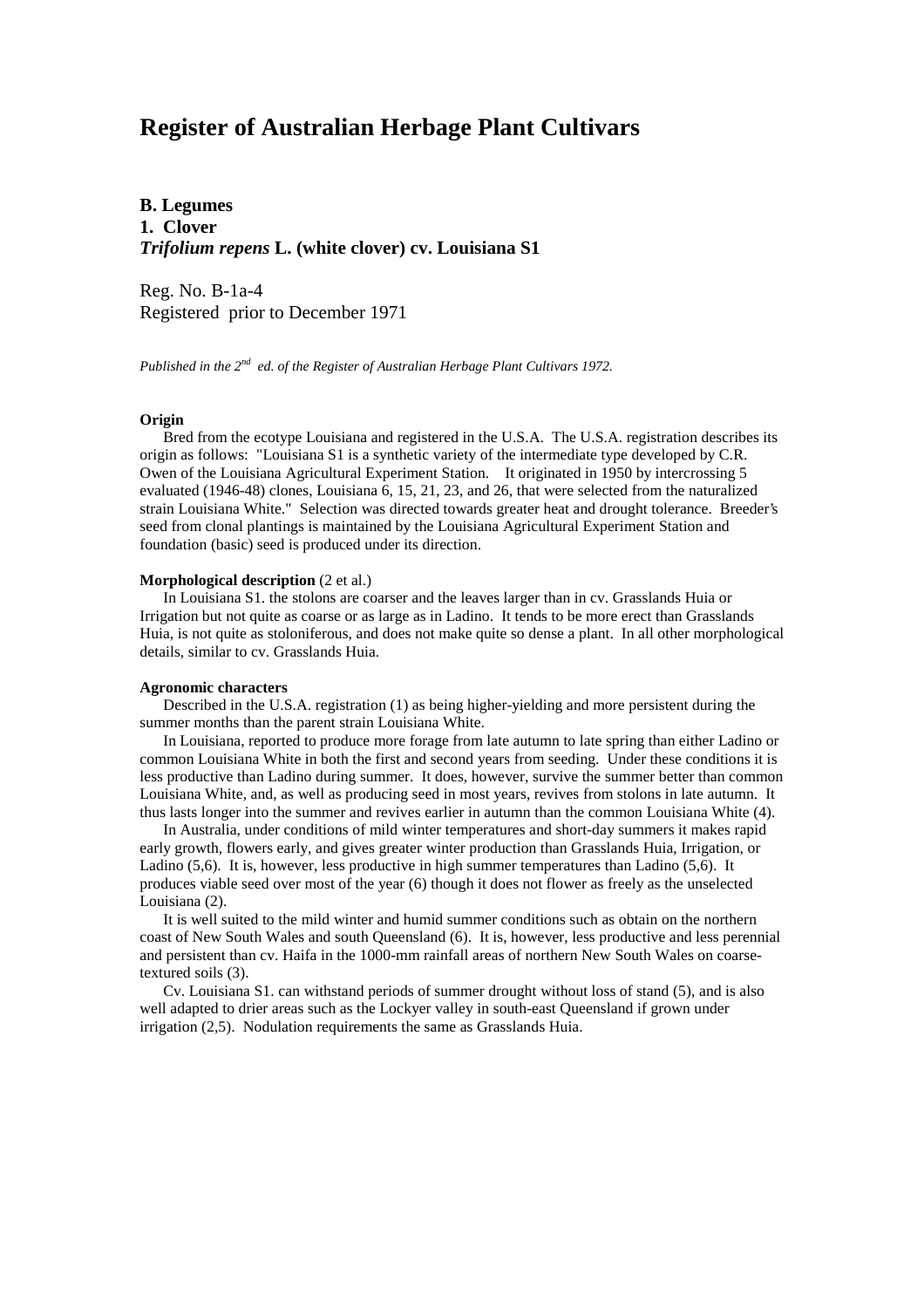# **Register of Australian Herbage Plant Cultivars**

**B. Legumes 1. Clover** *Trifolium repens* **L. (white clover) cv. Louisiana S1**

Reg. No. B-1a-4 Registered prior to December 1971

*Published in the 2nd ed. of the Register of Australian Herbage Plant Cultivars 1972.*

### **Origin**

 Bred from the ecotype Louisiana and registered in the U.S.A. The U.S.A. registration describes its origin as follows: "Louisiana S1 is a synthetic variety of the intermediate type developed by C.R. Owen of the Louisiana Agricultural Experiment Station. It originated in 1950 by intercrossing 5 evaluated (1946-48) clones, Louisiana 6, 15, 21, 23, and 26, that were selected from the naturalized strain Louisiana White." Selection was directed towards greater heat and drought tolerance. Breeder's seed from clonal plantings is maintained by the Louisiana Agricultural Experiment Station and foundation (basic) seed is produced under its direction.

#### **Morphological description** (2 et al.)

 In Louisiana S1. the stolons are coarser and the leaves larger than in cv. Grasslands Huia or Irrigation but not quite as coarse or as large as in Ladino. It tends to be more erect than Grasslands Huia, is not quite as stoloniferous, and does not make quite so dense a plant. In all other morphological details, similar to cv. Grasslands Huia.

#### **Agronomic characters**

 Described in the U.S.A. registration (1) as being higher-yielding and more persistent during the summer months than the parent strain Louisiana White.

 In Louisiana, reported to produce more forage from late autumn to late spring than either Ladino or common Louisiana White in both the first and second years from seeding. Under these conditions it is less productive than Ladino during summer. It does, however, survive the summer better than common Louisiana White, and, as well as producing seed in most years, revives from stolons in late autumn. It thus lasts longer into the summer and revives earlier in autumn than the common Louisiana White (4).

 In Australia, under conditions of mild winter temperatures and short-day summers it makes rapid early growth, flowers early, and gives greater winter production than Grasslands Huia, Irrigation, or Ladino (5,6). It is, however, less productive in high summer temperatures than Ladino (5,6). It produces viable seed over most of the year (6) though it does not flower as freely as the unselected Louisiana (2).

 It is well suited to the mild winter and humid summer conditions such as obtain on the northern coast of New South Wales and south Queensland (6). It is, however, less productive and less perennial and persistent than cv. Haifa in the 1000-mm rainfall areas of northern New South Wales on coarsetextured soils (3).

 Cv. Louisiana S1. can withstand periods of summer drought without loss of stand (5), and is also well adapted to drier areas such as the Lockyer valley in south-east Queensland if grown under irrigation (2,5). Nodulation requirements the same as Grasslands Huia.